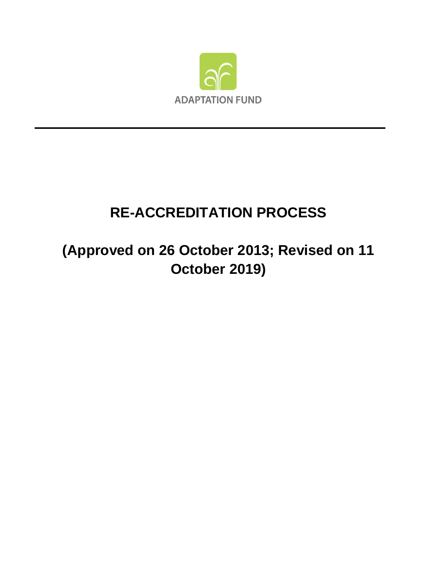

# **RE-ACCREDITATION PROCESS**

# **(Approved on 26 October 2013; Revised on 11 October 2019)**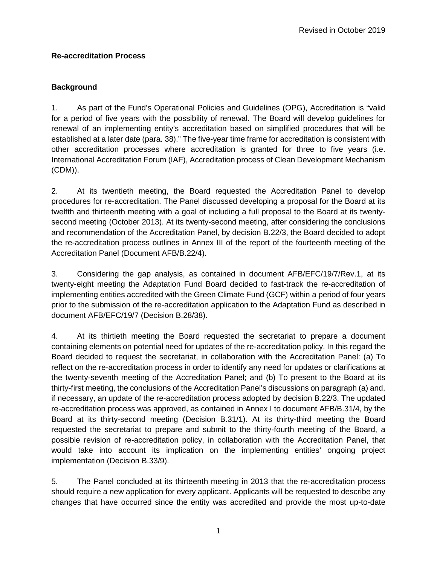### **Re-accreditation Process**

## **Background**

1. As part of the Fund's Operational Policies and Guidelines (OPG), Accreditation is "valid for a period of five years with the possibility of renewal. The Board will develop guidelines for renewal of an implementing entity's accreditation based on simplified procedures that will be established at a later date (para. 38)." The five-year time frame for accreditation is consistent with other accreditation processes where accreditation is granted for three to five years (i.e. International Accreditation Forum (IAF), Accreditation process of Clean Development Mechanism (CDM)).

2. At its twentieth meeting, the Board requested the Accreditation Panel to develop procedures for re-accreditation. The Panel discussed developing a proposal for the Board at its twelfth and thirteenth meeting with a goal of including a full proposal to the Board at its twentysecond meeting (October 2013). At its twenty-second meeting, after considering the conclusions and recommendation of the Accreditation Panel, by decision B.22/3, the Board decided to adopt the re-accreditation process outlines in Annex III of the report of the fourteenth meeting of the Accreditation Panel (Document AFB/B.22/4).

3. Considering the gap analysis, as contained in document AFB/EFC/19/7/Rev.1, at its twenty-eight meeting the Adaptation Fund Board decided to fast-track the re-accreditation of implementing entities accredited with the Green Climate Fund (GCF) within a period of four years prior to the submission of the re-accreditation application to the Adaptation Fund as described in document AFB/EFC/19/7 (Decision B.28/38).

4. At its thirtieth meeting the Board requested the secretariat to prepare a document containing elements on potential need for updates of the re-accreditation policy. In this regard the Board decided to request the secretariat, in collaboration with the Accreditation Panel: (a) To reflect on the re-accreditation process in order to identify any need for updates or clarifications at the twenty-seventh meeting of the Accreditation Panel; and (b) To present to the Board at its thirty-first meeting, the conclusions of the Accreditation Panel's discussions on paragraph (a) and, if necessary, an update of the re-accreditation process adopted by decision B.22/3. The updated re-accreditation process was approved, as contained in Annex I to document AFB/B.31/4, by the Board at its thirty-second meeting (Decision B.31/1). At its thirty-third meeting the Board requested the secretariat to prepare and submit to the thirty-fourth meeting of the Board, a possible revision of re-accreditation policy, in collaboration with the Accreditation Panel, that would take into account its implication on the implementing entities' ongoing project implementation (Decision B.33/9).

5. The Panel concluded at its thirteenth meeting in 2013 that the re-accreditation process should require a new application for every applicant. Applicants will be requested to describe any changes that have occurred since the entity was accredited and provide the most up-to-date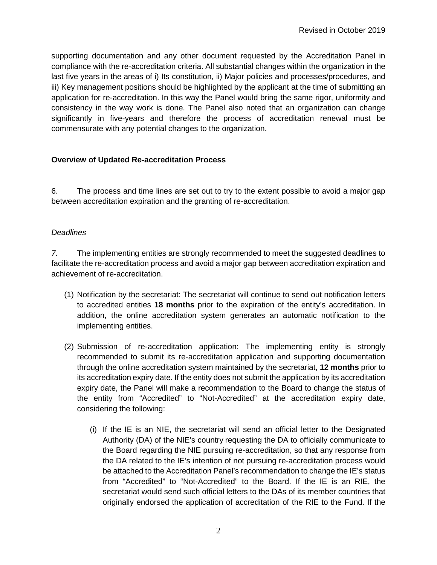supporting documentation and any other document requested by the Accreditation Panel in compliance with the re-accreditation criteria. All substantial changes within the organization in the last five years in the areas of i) Its constitution, ii) Major policies and processes/procedures, and iii) Key management positions should be highlighted by the applicant at the time of submitting an application for re-accreditation. In this way the Panel would bring the same rigor, uniformity and consistency in the way work is done. The Panel also noted that an organization can change significantly in five-years and therefore the process of accreditation renewal must be commensurate with any potential changes to the organization.

#### **Overview of Updated Re-accreditation Process**

6. The process and time lines are set out to try to the extent possible to avoid a major gap between accreditation expiration and the granting of re-accreditation.

#### *Deadlines*

*7.* The implementing entities are strongly recommended to meet the suggested deadlines to facilitate the re-accreditation process and avoid a major gap between accreditation expiration and achievement of re-accreditation.

- (1) Notification by the secretariat: The secretariat will continue to send out notification letters to accredited entities **18 months** prior to the expiration of the entity's accreditation. In addition, the online accreditation system generates an automatic notification to the implementing entities.
- (2) Submission of re-accreditation application: The implementing entity is strongly recommended to submit its re-accreditation application and supporting documentation through the online accreditation system maintained by the secretariat, **12 months** prior to its accreditation expiry date. If the entity does not submit the application by its accreditation expiry date, the Panel will make a recommendation to the Board to change the status of the entity from "Accredited" to "Not-Accredited" at the accreditation expiry date, considering the following:
	- (i) If the IE is an NIE, the secretariat will send an official letter to the Designated Authority (DA) of the NIE's country requesting the DA to officially communicate to the Board regarding the NIE pursuing re-accreditation, so that any response from the DA related to the IE's intention of not pursuing re-accreditation process would be attached to the Accreditation Panel's recommendation to change the IE's status from "Accredited" to "Not-Accredited" to the Board. If the IE is an RIE, the secretariat would send such official letters to the DAs of its member countries that originally endorsed the application of accreditation of the RIE to the Fund. If the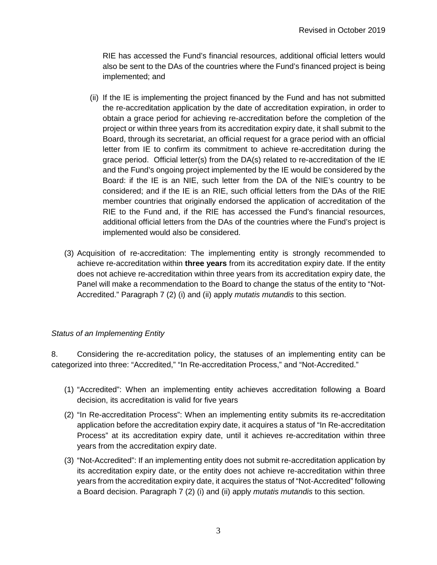RIE has accessed the Fund's financial resources, additional official letters would also be sent to the DAs of the countries where the Fund's financed project is being implemented; and

- (ii) If the IE is implementing the project financed by the Fund and has not submitted the re-accreditation application by the date of accreditation expiration, in order to obtain a grace period for achieving re-accreditation before the completion of the project or within three years from its accreditation expiry date, it shall submit to the Board, through its secretariat, an official request for a grace period with an official letter from IE to confirm its commitment to achieve re-accreditation during the grace period. Official letter(s) from the DA(s) related to re-accreditation of the IE and the Fund's ongoing project implemented by the IE would be considered by the Board: if the IE is an NIE, such letter from the DA of the NIE's country to be considered; and if the IE is an RIE, such official letters from the DAs of the RIE member countries that originally endorsed the application of accreditation of the RIE to the Fund and, if the RIE has accessed the Fund's financial resources, additional official letters from the DAs of the countries where the Fund's project is implemented would also be considered.
- (3) Acquisition of re-accreditation: The implementing entity is strongly recommended to achieve re-accreditation within **three years** from its accreditation expiry date. If the entity does not achieve re-accreditation within three years from its accreditation expiry date, the Panel will make a recommendation to the Board to change the status of the entity to "Not-Accredited." Paragraph 7 (2) (i) and (ii) apply *mutatis mutandis* to this section.

### *Status of an Implementing Entity*

8. Considering the re-accreditation policy, the statuses of an implementing entity can be categorized into three: "Accredited," "In Re-accreditation Process," and "Not-Accredited."

- (1) "Accredited": When an implementing entity achieves accreditation following a Board decision, its accreditation is valid for five years
- (2) "In Re-accreditation Process": When an implementing entity submits its re-accreditation application before the accreditation expiry date, it acquires a status of "In Re-accreditation Process" at its accreditation expiry date, until it achieves re-accreditation within three years from the accreditation expiry date.
- (3) "Not-Accredited": If an implementing entity does not submit re-accreditation application by its accreditation expiry date, or the entity does not achieve re-accreditation within three years from the accreditation expiry date, it acquires the status of "Not-Accredited" following a Board decision. Paragraph 7 (2) (i) and (ii) apply *mutatis mutandis* to this section.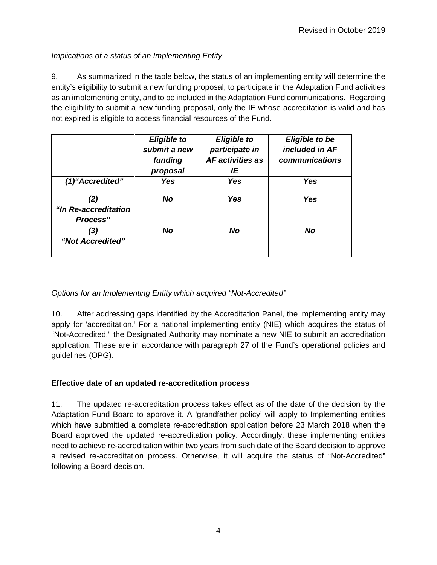## *Implications of a status of an Implementing Entity*

9. As summarized in the table below, the status of an implementing entity will determine the entity's eligibility to submit a new funding proposal, to participate in the Adaptation Fund activities as an implementing entity, and to be included in the Adaptation Fund communications. Regarding the eligibility to submit a new funding proposal, only the IE whose accreditation is valid and has not expired is eligible to access financial resources of the Fund.

|                                         | <b>Eligible to</b><br>submit a new<br>funding<br>proposal | <b>Eligible to</b><br>participate in<br>AF activities as<br>ΙE | <b>Eligible to be</b><br>included in AF<br>communications |
|-----------------------------------------|-----------------------------------------------------------|----------------------------------------------------------------|-----------------------------------------------------------|
| (1) "Accredited"                        | <b>Yes</b>                                                | Yes                                                            | <b>Yes</b>                                                |
| (2)<br>"In Re-accreditation<br>Process" | <b>No</b>                                                 | Yes                                                            | Yes                                                       |
| ′3)<br>"Not Accredited"                 | No                                                        | <b>No</b>                                                      | <b>No</b>                                                 |

*Options for an Implementing Entity which acquired "Not-Accredited"* 

10. After addressing gaps identified by the Accreditation Panel, the implementing entity may apply for 'accreditation.' For a national implementing entity (NIE) which acquires the status of "Not-Accredited," the Designated Authority may nominate a new NIE to submit an accreditation application. These are in accordance with paragraph 27 of the Fund's operational policies and guidelines (OPG).

## **Effective date of an updated re-accreditation process**

11. The updated re-accreditation process takes effect as of the date of the decision by the Adaptation Fund Board to approve it. A 'grandfather policy' will apply to Implementing entities which have submitted a complete re-accreditation application before 23 March 2018 when the Board approved the updated re-accreditation policy. Accordingly, these implementing entities need to achieve re-accreditation within two years from such date of the Board decision to approve a revised re-accreditation process. Otherwise, it will acquire the status of "Not-Accredited" following a Board decision.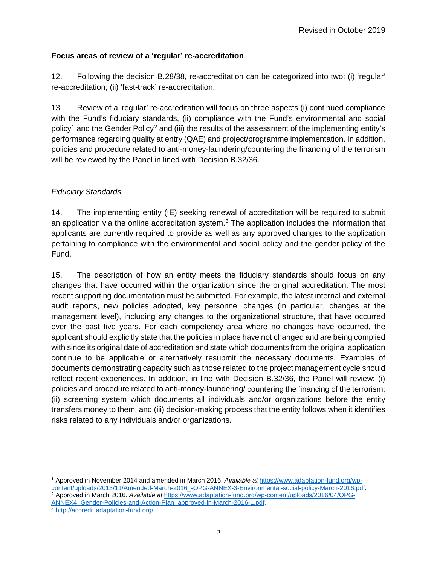### **Focus areas of review of a 'regular' re-accreditation**

12. Following the decision B.28/38, re-accreditation can be categorized into two: (i) 'regular' re-accreditation; (ii) 'fast-track' re-accreditation.

13. Review of a 'regular' re-accreditation will focus on three aspects (i) continued compliance with the Fund's fiduciary standards, (ii) compliance with the Fund's environmental and social policy<sup>[1](#page-5-0)</sup> and the Gender Policy<sup>[2](#page-5-1)</sup> and (iii) the results of the assessment of the implementing entity's performance regarding quality at entry (QAE) and project/programme implementation. In addition, policies and procedure related to anti-money-laundering/countering the financing of the terrorism will be reviewed by the Panel in lined with Decision B.32/36.

### *Fiduciary Standards*

14. The implementing entity (IE) seeking renewal of accreditation will be required to submit an application via the online accreditation system. $3$  The application includes the information that applicants are currently required to provide as well as any approved changes to the application pertaining to compliance with the environmental and social policy and the gender policy of the Fund.

15. The description of how an entity meets the fiduciary standards should focus on any changes that have occurred within the organization since the original accreditation. The most recent supporting documentation must be submitted. For example, the latest internal and external audit reports, new policies adopted, key personnel changes (in particular, changes at the management level), including any changes to the organizational structure, that have occurred over the past five years. For each competency area where no changes have occurred, the applicant should explicitly state that the policies in place have not changed and are being complied with since its original date of accreditation and state which documents from the original application continue to be applicable or alternatively resubmit the necessary documents. Examples of documents demonstrating capacity such as those related to the project management cycle should reflect recent experiences. In addition, in line with Decision B.32/36, the Panel will review: (i) policies and procedure related to anti-money-laundering/ countering the financing of the terrorism; (ii) screening system which documents all individuals and/or organizations before the entity transfers money to them; and (iii) decision-making process that the entity follows when it identifies risks related to any individuals and/or organizations.

<span id="page-5-0"></span> $\overline{a}$ <sup>1</sup> Approved in November 2014 and amended in March 2016. *Available at* [https://www.adaptation-fund.org/wp](https://www.adaptation-fund.org/wp-content/uploads/2013/11/Amended-March-2016_-OPG-ANNEX-3-Environmental-social-policy-March-2016.pdf)<sup>2</sup> Approved in March 2016. Available at [https://www.adaptation-fund.org/wp-content/uploads/2016/04/OPG-](https://www.adaptation-fund.org/wp-content/uploads/2016/04/OPG-ANNEX4_Gender-Policies-and-Action-Plan_approved-in-March-2016-1.pdf)[ANNEX4\\_Gender-Policies-and-Action-Plan\\_approved-in-March-2016-1.pdf](https://www.adaptation-fund.org/wp-content/uploads/2016/04/OPG-ANNEX4_Gender-Policies-and-Action-Plan_approved-in-March-2016-1.pdf)*.* 

<span id="page-5-2"></span><span id="page-5-1"></span><sup>3</sup> [http://accredit.adaptation-fund.org/.](http://accredit.adaptation-fund.org/)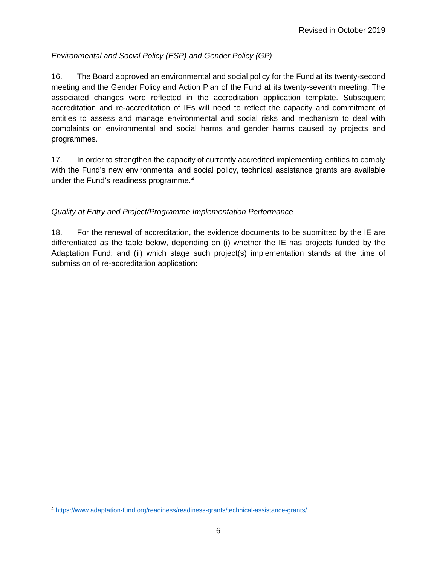## *Environmental and Social Policy (ESP) and Gender Policy (GP)*

16. The Board approved an environmental and social policy for the Fund at its twenty-second meeting and the Gender Policy and Action Plan of the Fund at its twenty-seventh meeting. The associated changes were reflected in the accreditation application template. Subsequent accreditation and re-accreditation of IEs will need to reflect the capacity and commitment of entities to assess and manage environmental and social risks and mechanism to deal with complaints on environmental and social harms and gender harms caused by projects and programmes.

17. In order to strengthen the capacity of currently accredited implementing entities to comply with the Fund's new environmental and social policy, technical assistance grants are available under the Fund's readiness programme.<sup>[4](#page-6-0)</sup>

## *Quality at Entry and Project/Programme Implementation Performance*

18. For the renewal of accreditation, the evidence documents to be submitted by the IE are differentiated as the table below, depending on (i) whether the IE has projects funded by the Adaptation Fund; and (ii) which stage such project(s) implementation stands at the time of submission of re-accreditation application:

<span id="page-6-0"></span> $\overline{a}$ <sup>4</sup> [https://www.adaptation-fund.org/readiness/readiness-grants/technical-assistance-grants/.](https://www.adaptation-fund.org/readiness/readiness-grants/technical-assistance-grants/)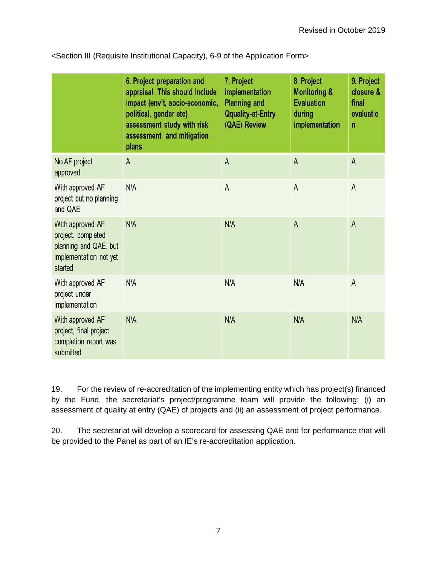|                                                                                                      | 6. Project preparation and<br>appraisal. This should include<br>impact (env't, socio-economic,<br>political, gender etc)<br>assessment study with risk<br>assessment and mitigation<br>plans | 7. Project<br>implementation<br><b>Planning and</b><br><b>Qquality-at-Entry</b><br>(QAE) Review | 8. Project<br><b>Monitoring &amp;</b><br><b>Evaluation</b><br>during<br>implementation | 9. Project<br>closure &<br>final<br>evaluatio<br>n |
|------------------------------------------------------------------------------------------------------|----------------------------------------------------------------------------------------------------------------------------------------------------------------------------------------------|-------------------------------------------------------------------------------------------------|----------------------------------------------------------------------------------------|----------------------------------------------------|
| No AF project<br>approved                                                                            | $\mathsf{A}$                                                                                                                                                                                 | $\mathsf{A}$                                                                                    | $\mathsf{A}$                                                                           | $\mathsf{A}$                                       |
| With approved AF<br>project but no planning<br>and QAE                                               | N/A                                                                                                                                                                                          | A                                                                                               | A                                                                                      | A                                                  |
| With approved AF<br>project, completed<br>planning and QAE, but<br>implementation not yet<br>started | N/A                                                                                                                                                                                          | N/A                                                                                             | $\mathsf{A}$                                                                           | A                                                  |
| With approved AF<br>project under<br>implementation                                                  | N/A                                                                                                                                                                                          | N/A                                                                                             | N/A                                                                                    | A                                                  |
| With approved AF<br>project, final project<br>completion report was<br>submitted                     | N/A                                                                                                                                                                                          | N/A                                                                                             | N/A                                                                                    | N/A                                                |

<Section III (Requisite Institutional Capacity), 6-9 of the Application Form>

19. For the review of re-accreditation of the implementing entity which has project(s) financed by the Fund, the secretariat's project/programme team will provide the following: (i) an assessment of quality at entry (QAE) of projects and (ii) an assessment of project performance.

20. The secretariat will develop a scorecard for assessing QAE and for performance that will be provided to the Panel as part of an IE's re-accreditation application.